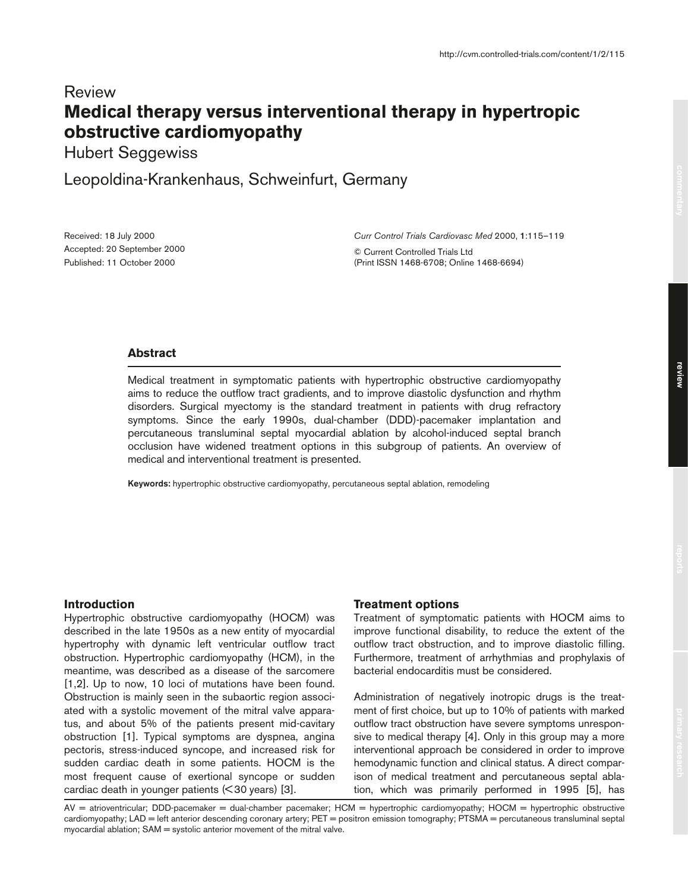# Review **Medical therapy versus interventional therapy in hypertropic obstructive cardiomyopathy**

Hubert Seggewiss

Leopoldina-Krankenhaus, Schweinfurt, Germany

Received: 18 July 2000 Accepted: 20 September 2000 Published: 11 October 2000

*Curr Control Trials Cardiovasc Med* 2000, **1**:115–119

© Current Controlled Trials Ltd (Print ISSN 1468-6708; Online 1468-6694)

## **Abstract**

Medical treatment in symptomatic patients with hypertrophic obstructive cardiomyopathy aims to reduce the outflow tract gradients, and to improve diastolic dysfunction and rhythm disorders. Surgical myectomy is the standard treatment in patients with drug refractory symptoms. Since the early 1990s, dual-chamber (DDD)-pacemaker implantation and percutaneous transluminal septal myocardial ablation by alcohol-induced septal branch occlusion have widened treatment options in this subgroup of patients. An overview of medical and interventional treatment is presented.

**Keywords:** hypertrophic obstructive cardiomyopathy, percutaneous septal ablation, remodeling

## **Introduction**

Hypertrophic obstructive cardiomyopathy (HOCM) was described in the late 1950s as a new entity of myocardial hypertrophy with dynamic left ventricular outflow tract obstruction. Hypertrophic cardiomyopathy (HCM), in the meantime, was described as a disease of the sarcomere [1,2]. Up to now, 10 loci of mutations have been found. Obstruction is mainly seen in the subaortic region associated with a systolic movement of the mitral valve apparatus, and about 5% of the patients present mid-cavitary obstruction [1]. Typical symptoms are dyspnea, angina pectoris, stress-induced syncope, and increased risk for sudden cardiac death in some patients. HOCM is the most frequent cause of exertional syncope or sudden cardiac death in younger patients (< 30 years) [3].

## **Treatment options**

Treatment of symptomatic patients with HOCM aims to improve functional disability, to reduce the extent of the outflow tract obstruction, and to improve diastolic filling. Furthermore, treatment of arrhythmias and prophylaxis of bacterial endocarditis must be considered.

Administration of negatively inotropic drugs is the treatment of first choice, but up to 10% of patients with marked outflow tract obstruction have severe symptoms unresponsive to medical therapy [4]. Only in this group may a more interventional approach be considered in order to improve hemodynamic function and clinical status. A direct comparison of medical treatment and percutaneous septal ablation, which was primarily performed in 1995 [5], has

AV = atrioventricular; DDD-pacemaker = dual-chamber pacemaker; HCM = hypertrophic cardiomyopathy; HOCM = hypertrophic obstructive cardiomyopathy; LAD = left anterior descending coronary artery; PET = positron emission tomography; PTSMA = percutaneous transluminal septal myocardial ablation; SAM = systolic anterior movement of the mitral valve.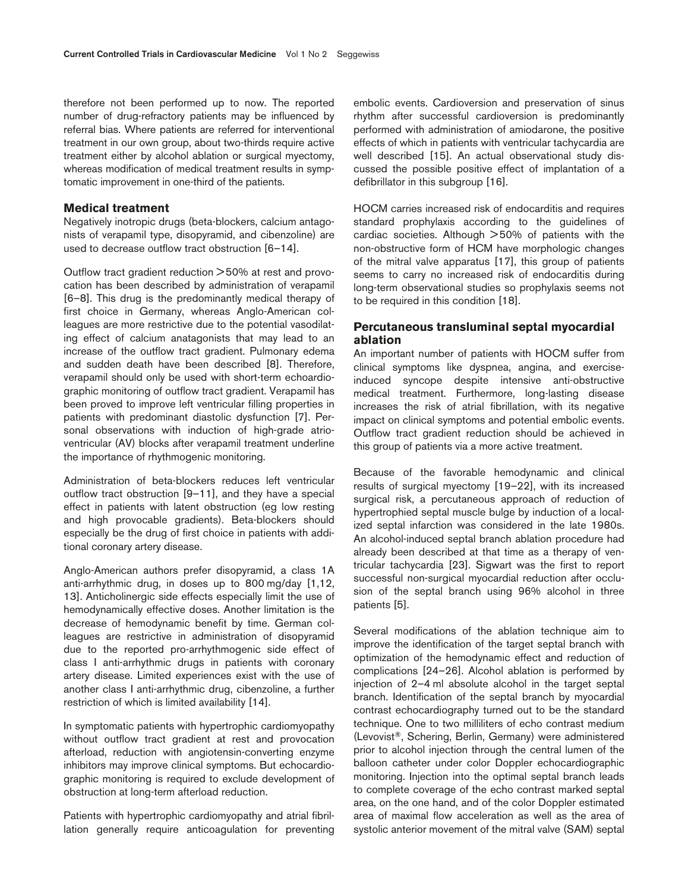therefore not been performed up to now. The reported number of drug-refractory patients may be influenced by referral bias. Where patients are referred for interventional treatment in our own group, about two-thirds require active treatment either by alcohol ablation or surgical myectomy, whereas modification of medical treatment results in symptomatic improvement in one-third of the patients.

#### **Medical treatment**

Negatively inotropic drugs (beta-blockers, calcium antagonists of verapamil type, disopyramid, and cibenzoline) are used to decrease outflow tract obstruction [6–14].

Outflow tract gradient reduction > 50% at rest and provocation has been described by administration of verapamil [6–8]. This drug is the predominantly medical therapy of first choice in Germany, whereas Anglo-American colleagues are more restrictive due to the potential vasodilating effect of calcium anatagonists that may lead to an increase of the outflow tract gradient. Pulmonary edema and sudden death have been described [8]. Therefore, verapamil should only be used with short-term echoardiographic monitoring of outflow tract gradient. Verapamil has been proved to improve left ventricular filling properties in patients with predominant diastolic dysfunction [7]. Personal observations with induction of high-grade atrioventricular (AV) blocks after verapamil treatment underline the importance of rhythmogenic monitoring.

Administration of beta-blockers reduces left ventricular outflow tract obstruction [9–11], and they have a special effect in patients with latent obstruction (eg low resting and high provocable gradients). Beta-blockers should especially be the drug of first choice in patients with additional coronary artery disease.

Anglo-American authors prefer disopyramid, a class 1A anti-arrhythmic drug, in doses up to 800 mg/day [1,12, 13]. Anticholinergic side effects especially limit the use of hemodynamically effective doses. Another limitation is the decrease of hemodynamic benefit by time. German colleagues are restrictive in administration of disopyramid due to the reported pro-arrhythmogenic side effect of class I anti-arrhythmic drugs in patients with coronary artery disease. Limited experiences exist with the use of another class I anti-arrhythmic drug, cibenzoline, a further restriction of which is limited availability [14].

In symptomatic patients with hypertrophic cardiomyopathy without outflow tract gradient at rest and provocation afterload, reduction with angiotensin-converting enzyme inhibitors may improve clinical symptoms. But echocardiographic monitoring is required to exclude development of obstruction at long-term afterload reduction.

Patients with hypertrophic cardiomyopathy and atrial fibrillation generally require anticoagulation for preventing embolic events. Cardioversion and preservation of sinus rhythm after successful cardioversion is predominantly performed with administration of amiodarone, the positive effects of which in patients with ventricular tachycardia are well described [15]. An actual observational study discussed the possible positive effect of implantation of a defibrillator in this subgroup [16].

HOCM carries increased risk of endocarditis and requires standard prophylaxis according to the guidelines of cardiac societies. Although > 50% of patients with the non-obstructive form of HCM have morphologic changes of the mitral valve apparatus [17], this group of patients seems to carry no increased risk of endocarditis during long-term observational studies so prophylaxis seems not to be required in this condition [18].

# **Percutaneous transluminal septal myocardial ablation**

An important number of patients with HOCM suffer from clinical symptoms like dyspnea, angina, and exerciseinduced syncope despite intensive anti-obstructive medical treatment. Furthermore, long-lasting disease increases the risk of atrial fibrillation, with its negative impact on clinical symptoms and potential embolic events. Outflow tract gradient reduction should be achieved in this group of patients via a more active treatment.

Because of the favorable hemodynamic and clinical results of surgical myectomy [19–22], with its increased surgical risk, a percutaneous approach of reduction of hypertrophied septal muscle bulge by induction of a localized septal infarction was considered in the late 1980s. An alcohol-induced septal branch ablation procedure had already been described at that time as a therapy of ventricular tachycardia [23]. Sigwart was the first to report successful non-surgical myocardial reduction after occlusion of the septal branch using 96% alcohol in three patients [5].

Several modifications of the ablation technique aim to improve the identification of the target septal branch with optimization of the hemodynamic effect and reduction of complications [24–26]. Alcohol ablation is performed by injection of 2–4 ml absolute alcohol in the target septal branch. Identification of the septal branch by myocardial contrast echocardiography turned out to be the standard technique. One to two milliliters of echo contrast medium (Levovist®, Schering, Berlin, Germany) were administered prior to alcohol injection through the central lumen of the balloon catheter under color Doppler echocardiographic monitoring. Injection into the optimal septal branch leads to complete coverage of the echo contrast marked septal area, on the one hand, and of the color Doppler estimated area of maximal flow acceleration as well as the area of systolic anterior movement of the mitral valve (SAM) septal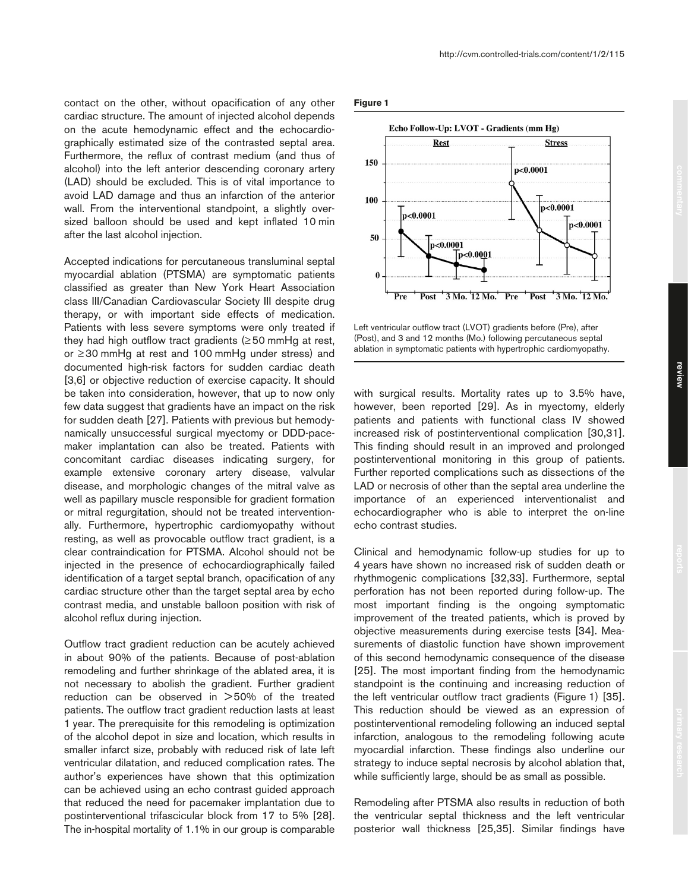contact on the other, without opacification of any other cardiac structure. The amount of injected alcohol depends on the acute hemodynamic effect and the echocardiographically estimated size of the contrasted septal area. Furthermore, the reflux of contrast medium (and thus of alcohol) into the left anterior descending coronary artery (LAD) should be excluded. This is of vital importance to avoid LAD damage and thus an infarction of the anterior wall. From the interventional standpoint, a slightly over-

Accepted indications for percutaneous transluminal septal myocardial ablation (PTSMA) are symptomatic patients classified as greater than New York Heart Association class III/Canadian Cardiovascular Society III despite drug therapy, or with important side effects of medication. Patients with less severe symptoms were only treated if they had high outflow tract gradients  $(≥50$  mmHg at rest, or ≥30 mmHg at rest and 100 mmHg under stress) and documented high-risk factors for sudden cardiac death [3,6] or objective reduction of exercise capacity. It should be taken into consideration, however, that up to now only few data suggest that gradients have an impact on the risk for sudden death [27]. Patients with previous but hemodynamically unsuccessful surgical myectomy or DDD-pacemaker implantation can also be treated. Patients with concomitant cardiac diseases indicating surgery, for example extensive coronary artery disease, valvular disease, and morphologic changes of the mitral valve as well as papillary muscle responsible for gradient formation or mitral regurgitation, should not be treated interventionally. Furthermore, hypertrophic cardiomyopathy without resting, as well as provocable outflow tract gradient, is a clear contraindication for PTSMA. Alcohol should not be injected in the presence of echocardiographically failed identification of a target septal branch, opacification of any cardiac structure other than the target septal area by echo contrast media, and unstable balloon position with risk of alcohol reflux during injection.

sized balloon should be used and kept inflated 10 min

after the last alcohol injection.

Outflow tract gradient reduction can be acutely achieved in about 90% of the patients. Because of post-ablation remodeling and further shrinkage of the ablated area, it is not necessary to abolish the gradient. Further gradient reduction can be observed in > 50% of the treated patients. The outflow tract gradient reduction lasts at least 1 year. The prerequisite for this remodeling is optimization of the alcohol depot in size and location, which results in smaller infarct size, probably with reduced risk of late left ventricular dilatation, and reduced complication rates. The author's experiences have shown that this optimization can be achieved using an echo contrast guided approach that reduced the need for pacemaker implantation due to postinterventional trifascicular block from 17 to 5% [28]. The in-hospital mortality of 1.1% in our group is comparable

#### **Figure 1**



Left ventricular outflow tract (LVOT) gradients before (Pre), after (Post), and 3 and 12 months (Mo.) following percutaneous septal ablation in symptomatic patients with hypertrophic cardiomyopathy.

with surgical results. Mortality rates up to 3.5% have, however, been reported [29]. As in myectomy, elderly patients and patients with functional class IV showed increased risk of postinterventional complication [30,31]. This finding should result in an improved and prolonged postinterventional monitoring in this group of patients. Further reported complications such as dissections of the LAD or necrosis of other than the septal area underline the importance of an experienced interventionalist and echocardiographer who is able to interpret the on-line echo contrast studies.

Clinical and hemodynamic follow-up studies for up to 4 years have shown no increased risk of sudden death or rhythmogenic complications [32,33]. Furthermore, septal perforation has not been reported during follow-up. The most important finding is the ongoing symptomatic improvement of the treated patients, which is proved by objective measurements during exercise tests [34]. Measurements of diastolic function have shown improvement of this second hemodynamic consequence of the disease [25]. The most important finding from the hemodynamic standpoint is the continuing and increasing reduction of the left ventricular outflow tract gradients (Figure 1) [35]. This reduction should be viewed as an expression of postinterventional remodeling following an induced septal infarction, analogous to the remodeling following acute myocardial infarction. These findings also underline our strategy to induce septal necrosis by alcohol ablation that, while sufficiently large, should be as small as possible.

Remodeling after PTSMA also results in reduction of both the ventricular septal thickness and the left ventricular posterior wall thickness [25,35]. Similar findings have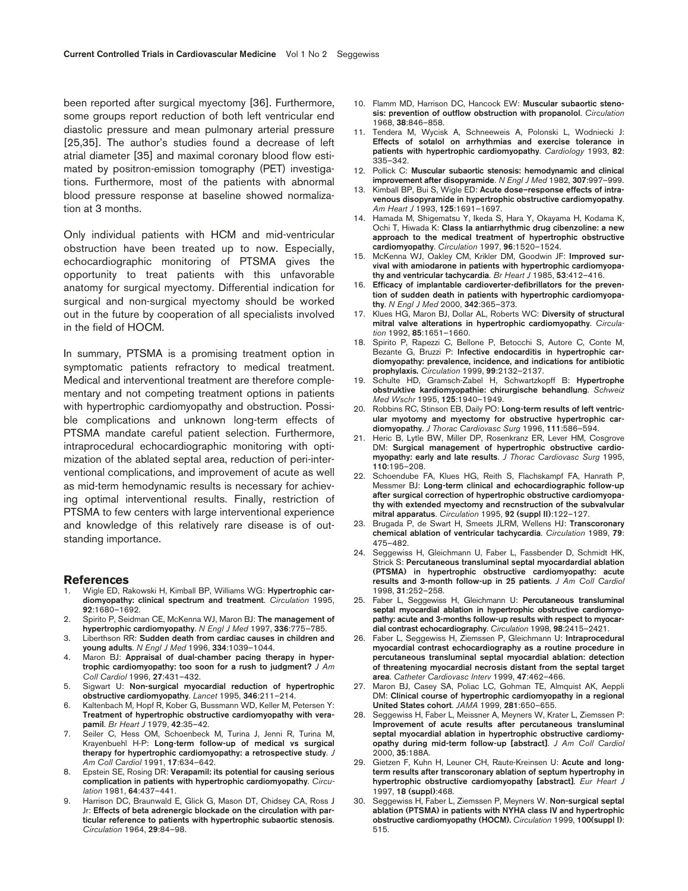been reported after surgical myectomy [36]. Furthermore, some groups report reduction of both left ventricular end diastolic pressure and mean pulmonary arterial pressure [25,35]. The author's studies found a decrease of left atrial diameter [35] and maximal coronary blood flow estimated by positron-emission tomography (PET) investigations. Furthermore, most of the patients with abnormal blood pressure response at baseline showed normalization at 3 months.

Only individual patients with HCM and mid-ventricular obstruction have been treated up to now. Especially, echocardiographic monitoring of PTSMA gives the opportunity to treat patients with this unfavorable anatomy for surgical myectomy. Differential indication for surgical and non-surgical myectomy should be worked out in the future by cooperation of all specialists involved in the field of HOCM.

In summary, PTSMA is a promising treatment option in symptomatic patients refractory to medical treatment. Medical and interventional treatment are therefore complementary and not competing treatment options in patients with hypertrophic cardiomyopathy and obstruction. Possible complications and unknown long-term effects of PTSMA mandate careful patient selection. Furthermore, intraprocedural echocardiographic monitoring with optimization of the ablated septal area, reduction of peri-interventional complications, and improvement of acute as well as mid-term hemodynamic results is necessary for achieving optimal interventional results. Finally, restriction of PTSMA to few centers with large interventional experience and knowledge of this relatively rare disease is of outstanding importance.

#### **References**

- 1. Wigle ED, Rakowski H, Kimball BP, Williams WG: **Hypertrophic cardiomyopathy: clinical spectrum and treatment**. *Circulation* 1995, **92**:1680–1692.
- 2. Spirito P, Seidman CE, McKenna WJ, Maron BJ: **The management of hypertrophic cardiomyopathy**. *N Engl J Med* 1997, **336**:775–785.
- 3. Liberthson RR: **Sudden death from cardiac causes in children and young adults**. *N Engl J Med* 1996, **334**:1039–1044.
- 4. Maron BJ: **Appraisal of dual-chamber pacing therapy in hypertrophic cardiomyopathy: too soon for a rush to judgment?** *J Am Coll Cardiol* 1996, **27**:431–432.
- 5. Sigwart U: **Non-surgical myocardial reduction of hypertrophic obstructive cardiomyopathy**. *Lancet* 1995, **346**:211–214.
- 6. Kaltenbach M, Hopf R, Kober G, Bussmann WD, Keller M, Petersen Y: **Treatment of hypertrophic obstructive cardiomyopathy with verapamil**. *Br Heart J* 1979, **42**:35–42.
- 7. Seiler C, Hess OM, Schoenbeck M, Turina J, Jenni R, Turina M, Krayenbuehl H-P: **Long-term follow-up of medical vs surgical therapy for hypertrophic cardiomyopathy: a retrospective study**. *J Am Coll Cardiol* 1991, **17**:634–642.
- 8. Epstein SE, Rosing DR: **Verapamil: its potential for causing serious complication in patients with hypertrophic cardiomyopathy**. *Circulation* 1981, **64**:437–441.
- Harrison DC, Braunwald E, Glick G, Mason DT, Chidsey CA, Ross J Jr: **Effects of beta adrenergic blockade on the circulation with particular reference to patients with hypertrophic subaortic stenosis**. *Circulation* 1964, **29**:84–98.
- 10. Flamm MD, Harrison DC, Hancock EW: **Muscular subaortic stenosis: prevention of outflow obstruction with propanolol**. *Circulation* 1968, **38**:846–858.
- 11. Tendera M, Wycisk A, Schneeweis A, Polonski L, Wodniecki J: **Effects of sotalol on arrhythmias and exercise tolerance in patients with hypertrophic cardiomyopathy**. *Cardiology* 1993, **82**: 335–342.
- 12. Pollick C: **Muscular subaortic stenosis: hemodynamic and clinical improvement after disopyramide**. *N Engl J Med* 1982, **307**:997–999.
- 13. Kimball BP, Bui S, Wigle ED: **Acute dose–response effects of intravenous disopyramide in hypertrophic obstructive cardiomyopathy**. *Am Heart J* 1993, **125**:1691–1697.
- 14. Hamada M, Shigematsu Y, Ikeda S, Hara Y, Okayama H, Kodama K, Ochi T, Hiwada K: **Class Ia antiarrhythmic drug cibenzoline: a new approach to the medical treatment of hypertrophic obstructive cardiomyopathy**. *Circulation* 1997, **96**:1520–1524.
- 15. McKenna WJ, Oakley CM, Krikler DM, Goodwin JF: **Improved survival with amiodarone in patients with hypertrophic cardiomyopathy and ventricular tachycardia**. *Br Heart J* 1985, **53**:412–416.
- 16. **Efficacy of implantable cardioverter-defibrillators for the prevention of sudden death in patients with hypertrophic cardiomyopathy**. *N Engl J Med* 2000, **342**:365–373.
- 17. Klues HG, Maron BJ, Dollar AL, Roberts WC: **Diversity of structural mitral valve alterations in hypertrophic cardiomyopathy**. *Circulation* 1992, **85**:1651–1660.
- 18. Spirito P, Rapezzi C, Bellone P, Betocchi S, Autore C, Conte M, Bezante G, Bruzzi P: **Infective endocarditis in hypertrophic cardiomyopathy: prevalence, incidence, and indications for antibiotic prophylaxis.** *Circulation* 1999, **99**:2132–2137.
- 19. Schulte HD, Gramsch-Zabel H, Schwartzkopff B: **Hypertrophe obstruktive kardiomyopathie: chirurgische behandlung**. *Schweiz Med Wschr* 1995, **125**:1940–1949.
- 20. Robbins RC, Stinson EB, Daily PO: **Long-term results of left ventricular myotomy and myectomy for obstructive hypertrophic cardiomyopathy**. *J Thorac Cardiovasc Surg* 1996, **111**:586–594.
- 21. Heric B, Lytle BW, Miller DP, Rosenkranz ER, Lever HM, Cosgrove DM: **Surgical management of hypertrophic obstructive cardiomyopathy: early and late results**. *J Thorac Cardiovasc Surg* 1995, **110**:195–208.
- 22. Schoendube FA, Klues HG, Reith S, Flachskampf FA, Hanrath P, Messmer BJ: **Long-term clinical and echocardiographic follow-up after surgical correction of hypertrophic obstructive cardiomyopathy with extended myectomy and recnstruction of the subvalvular mitral apparatus**. *Circulation* 1995, **92 (suppl II)**:122–127.
- 23. Brugada P, de Swart H, Smeets JLRM, Wellens HJ: **Transcoronary chemical ablation of ventricular tachycardia**. *Circulation* 1989, **79**: 475–482.
- 24. Seggewiss H, Gleichmann U, Faber L, Fassbender D, Schmidt HK, Strick S: **Percutaneous transluminal septal myocardardial ablation (PTSMA) in hypertrophic obstructive cardiomyopathy: acute results and 3-month follow-up in 25 patients**. *J Am Coll Cardiol* 1998, **31**:252–258.
- 25. Faber L, Seggewiss H, Gleichmann U: **Percutaneous transluminal septal myocardial ablation in hypertrophic obstructive cardiomyopathy: acute and 3-months follow-up results with respect to myocardial contrast echocardiography**. *Circulation* 1998, **98**:2415–2421.
- 26. Faber L, Seggewiss H, Ziemssen P, Gleichmann U: **Intraprocedural myocardial contrast echocardiography as a routine procedure in percutaneous transluminal septal myocardial ablation: detection of threatening myocardial necrosis distant from the septal target area**. *Catheter Cardiovasc Interv* 1999, **47**:462–466.
- 27. Maron BJ, Casey SA, Poliac LC, Gohman TE, Almquist AK, Aeppli DM: **Clinical course of hypertrophic cardiomyopathy in a regional United States cohort**. *JAMA* 1999, **281**:650–655.
- 28. Seggewiss H, Faber L, Meissner A, Meyners W, Krater L, Ziemssen P: **Improvement of acute results after percutaneous transluminal septal myocardial ablation in hypertrophic obstructive cardiomyopathy during mid-term follow-up [abstract]**. *J Am Coll Cardiol* 2000, **35**:188A.
- 29. Gietzen F, Kuhn H, Leuner CH, Raute-Kreinsen U: **Acute and longterm results after transcoronary ablation of septum hypertrophy in hypertrophic obstructive cardiomyopathy [abstract]**. *Eur Heart J* 1997, **18 (suppl)**:468.
- 30. Seggewiss H, Faber L, Ziemssen P, Meyners W. **Non-surgical septal ablation (PTSMA) in patients with NYHA class IV and hypertrophic obstructive cardiomyopathy (HOCM).** *Circulation* 1999, **100(suppl I)**: 515.